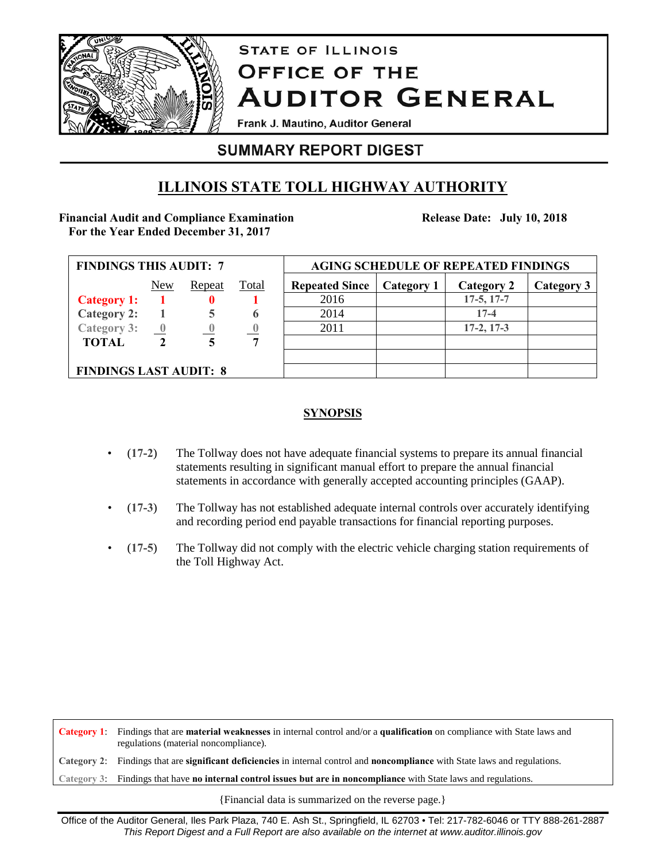

# **STATE OF ILLINOIS OFFICE OF THE AUDITOR GENERAL**

Frank J. Mautino, Auditor General

# **SUMMARY REPORT DIGEST**

# **ILLINOIS STATE TOLL HIGHWAY AUTHORITY**

### **Financial Audit and Compliance Examination For the Year Ended December 31, 2017**

**Release Date: July 10, 2018**

| <b>FINDINGS THIS AUDIT: 7</b> |                         |        |              | <b>AGING SCHEDULE OF REPEATED FINDINGS</b> |            |              |            |
|-------------------------------|-------------------------|--------|--------------|--------------------------------------------|------------|--------------|------------|
|                               | New                     | Repeat | <b>Total</b> | <b>Repeated Since</b>                      | Category 1 | Category 2   | Category 3 |
| <b>Category 1:</b>            |                         |        |              | 2016                                       |            | $17-5, 17-7$ |            |
| <b>Category 2:</b>            |                         |        |              | 2014                                       |            | $17 - 4$     |            |
| <b>Category 3:</b>            | $\overline{\mathbf{0}}$ |        |              | 2011                                       |            | $17-2, 17-3$ |            |
| <b>TOTAL</b>                  |                         |        | 7            |                                            |            |              |            |
|                               |                         |        |              |                                            |            |              |            |
| <b>FINDINGS LAST AUDIT: 8</b> |                         |        |              |                                            |            |              |            |

## **SYNOPSIS**

- (**17-2**) The Tollway does not have adequate financial systems to prepare its annual financial statements resulting in significant manual effort to prepare the annual financial statements in accordance with generally accepted accounting principles (GAAP).
- (**17-3**) The Tollway has not established adequate internal controls over accurately identifying and recording period end payable transactions for financial reporting purposes.
- (**17-5**) The Tollway did not comply with the electric vehicle charging station requirements of the Toll Highway Act.

**Category 1**: Findings that are **material weaknesses** in internal control and/or a **qualification** on compliance with State laws and regulations (material noncompliance). **Category 2**: Findings that are **significant deficiencies** in internal control and **noncompliance** with State laws and regulations. **Category 3**: Findings that have **no internal control issues but are in noncompliance** with State laws and regulations.

{Financial data is summarized on the reverse page.}

Office of the Auditor General, Iles Park Plaza, 740 E. Ash St., Springfield, IL 62703 • Tel: 217-782-6046 or TTY 888-261-2887 *This Report Digest and a Full Report are also available on the internet at www.auditor.illinois.gov*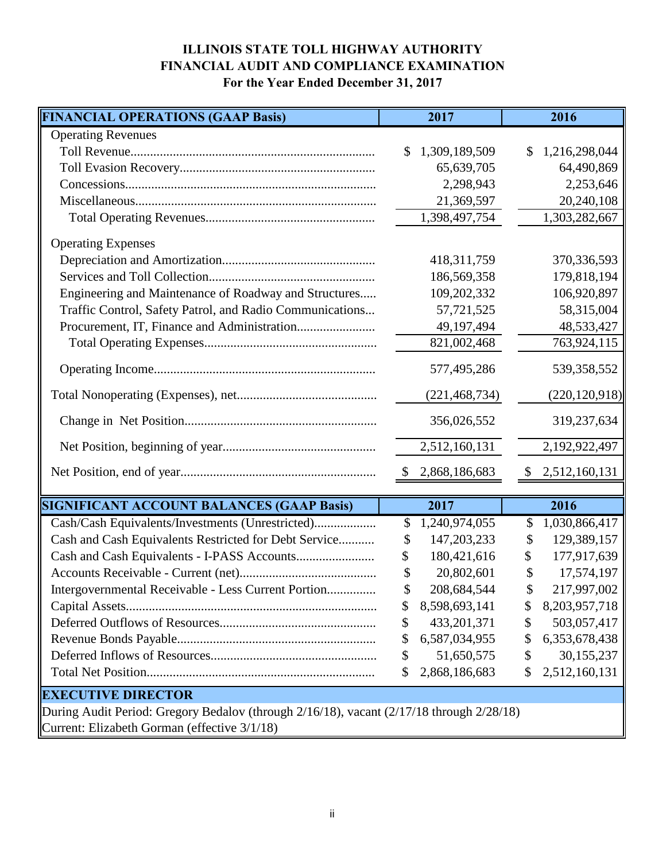# **ILLINOIS STATE TOLL HIGHWAY AUTHORITY FINANCIAL AUDIT AND COMPLIANCE EXAMINATION For the Year Ended December 31, 2017**

| <b>FINANCIAL OPERATIONS (GAAP Basis)</b>                                                 |              | 2017            |               | 2016            |  |  |
|------------------------------------------------------------------------------------------|--------------|-----------------|---------------|-----------------|--|--|
| <b>Operating Revenues</b>                                                                |              |                 |               |                 |  |  |
|                                                                                          | $\mathbb{S}$ | 1,309,189,509   | \$            | 1,216,298,044   |  |  |
|                                                                                          |              | 65,639,705      |               | 64,490,869      |  |  |
|                                                                                          |              | 2,298,943       |               | 2,253,646       |  |  |
|                                                                                          |              | 21,369,597      |               | 20,240,108      |  |  |
|                                                                                          |              | 1,398,497,754   |               | 1,303,282,667   |  |  |
| <b>Operating Expenses</b>                                                                |              |                 |               |                 |  |  |
|                                                                                          |              | 418, 311, 759   |               | 370, 336, 593   |  |  |
|                                                                                          |              | 186,569,358     |               | 179,818,194     |  |  |
| Engineering and Maintenance of Roadway and Structures                                    |              | 109,202,332     |               | 106,920,897     |  |  |
| Traffic Control, Safety Patrol, and Radio Communications                                 |              | 57,721,525      |               | 58,315,004      |  |  |
|                                                                                          |              | 49, 197, 494    |               | 48,533,427      |  |  |
|                                                                                          |              | 821,002,468     |               | 763,924,115     |  |  |
|                                                                                          |              | 577,495,286     |               | 539,358,552     |  |  |
|                                                                                          |              | (221, 468, 734) |               | (220, 120, 918) |  |  |
|                                                                                          |              | 356,026,552     |               | 319,237,634     |  |  |
|                                                                                          |              | 2,512,160,131   |               | 2,192,922,497   |  |  |
|                                                                                          | \$           | 2,868,186,683   | $\mathcal{S}$ | 2,512,160,131   |  |  |
| <b>SIGNIFICANT ACCOUNT BALANCES (GAAP Basis)</b>                                         |              | 2017            |               | 2016            |  |  |
| Cash/Cash Equivalents/Investments (Unrestricted)                                         | S            | 1,240,974,055   | \$            | 1,030,866,417   |  |  |
| Cash and Cash Equivalents Restricted for Debt Service                                    | \$           | 147,203,233     | \$            | 129,389,157     |  |  |
|                                                                                          | \$           | 180,421,616     | \$            | 177,917,639     |  |  |
|                                                                                          |              | 20,802,601      | \$            | 17,574,197      |  |  |
| Intergovernmental Receivable - Less Current Portion                                      |              | 208,684,544     |               | 217,997,002     |  |  |
|                                                                                          | \$           | 8,598,693,141   | \$            | 8,203,957,718   |  |  |
|                                                                                          | \$           | 433, 201, 371   | \$            | 503,057,417     |  |  |
|                                                                                          | \$           | 6,587,034,955   | \$            | 6,353,678,438   |  |  |
|                                                                                          | \$           | 51,650,575      | \$            | 30,155,237      |  |  |
|                                                                                          | \$           | 2,868,186,683   | \$            | 2,512,160,131   |  |  |
| <b>EXECUTIVE DIRECTOR</b>                                                                |              |                 |               |                 |  |  |
| During Audit Period: Gregory Bedalov (through 2/16/18), vacant (2/17/18 through 2/28/18) |              |                 |               |                 |  |  |
| Current: Elizabeth Gorman (effective 3/1/18)                                             |              |                 |               |                 |  |  |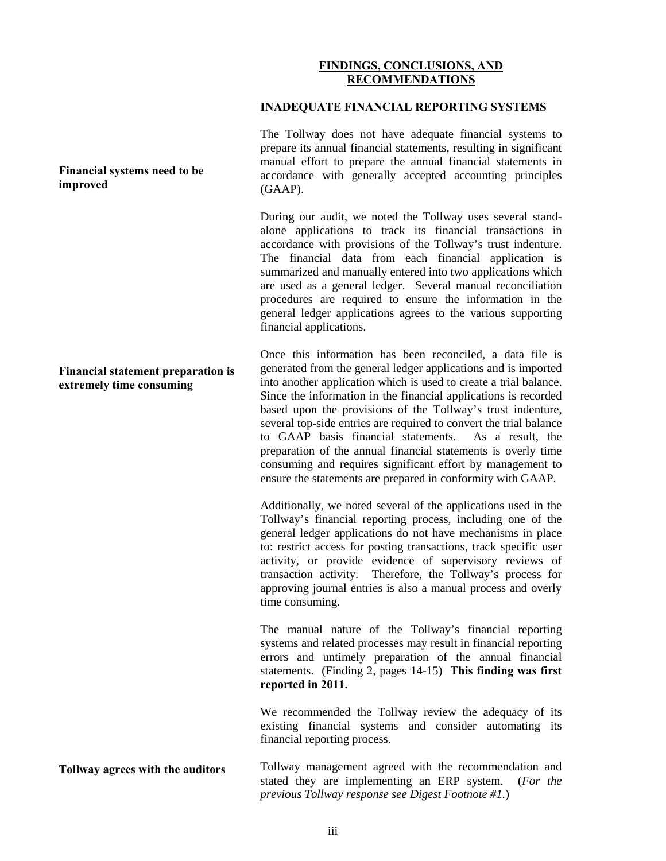#### **FINDINGS, CONCLUSIONS, AND RECOMMENDATIONS**

#### **INADEQUATE FINANCIAL REPORTING SYSTEMS**

The Tollway does not have adequate financial systems to prepare its annual financial statements, resulting in significant manual effort to prepare the annual financial statements in accordance with generally accepted accounting principles (GAAP).

During our audit, we noted the Tollway uses several standalone applications to track its financial transactions in accordance with provisions of the Tollway's trust indenture. The financial data from each financial application is summarized and manually entered into two applications which are used as a general ledger. Several manual reconciliation procedures are required to ensure the information in the general ledger applications agrees to the various supporting financial applications.

Once this information has been reconciled, a data file is generated from the general ledger applications and is imported into another application which is used to create a trial balance. Since the information in the financial applications is recorded based upon the provisions of the Tollway's trust indenture, several top-side entries are required to convert the trial balance to GAAP basis financial statements. As a result, the preparation of the annual financial statements is overly time consuming and requires significant effort by management to ensure the statements are prepared in conformity with GAAP.

Additionally, we noted several of the applications used in the Tollway's financial reporting process, including one of the general ledger applications do not have mechanisms in place to: restrict access for posting transactions, track specific user activity, or provide evidence of supervisory reviews of transaction activity. Therefore, the Tollway's process for approving journal entries is also a manual process and overly time consuming.

The manual nature of the Tollway's financial reporting systems and related processes may result in financial reporting errors and untimely preparation of the annual financial statements. (Finding 2, pages 14-15) **This finding was first reported in 2011.**

We recommended the Tollway review the adequacy of its existing financial systems and consider automating its financial reporting process.

**Tollway agrees with the auditors** Tollway management agreed with the recommendation and stated they are implementing an ERP system. (*For the previous Tollway response see Digest Footnote #1.*)

#### **Financial systems need to be improved**

**Financial statement preparation is extremely time consuming**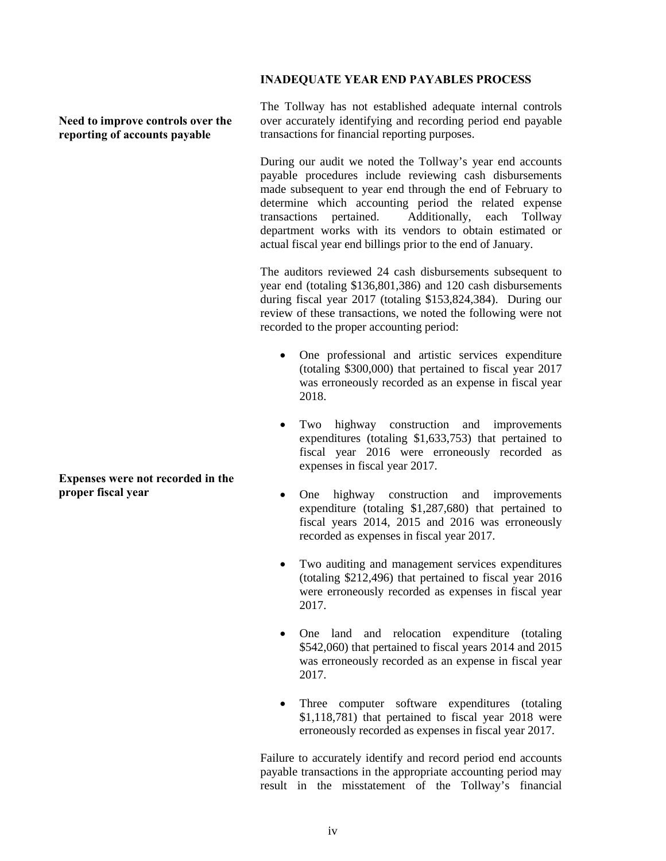#### **INADEQUATE YEAR END PAYABLES PROCESS**

**Need to improve controls over the reporting of accounts payable**

**Expenses were not recorded in the proper fiscal year**

The Tollway has not established adequate internal controls over accurately identifying and recording period end payable transactions for financial reporting purposes.

During our audit we noted the Tollway's year end accounts payable procedures include reviewing cash disbursements made subsequent to year end through the end of February to determine which accounting period the related expense transactions pertained. Additionally, each Tollway department works with its vendors to obtain estimated or actual fiscal year end billings prior to the end of January.

The auditors reviewed 24 cash disbursements subsequent to year end (totaling \$136,801,386) and 120 cash disbursements during fiscal year 2017 (totaling \$153,824,384). During our review of these transactions, we noted the following were not recorded to the proper accounting period:

- One professional and artistic services expenditure (totaling \$300,000) that pertained to fiscal year 2017 was erroneously recorded as an expense in fiscal year 2018.
- Two highway construction and improvements expenditures (totaling \$1,633,753) that pertained to fiscal year 2016 were erroneously recorded as expenses in fiscal year 2017.
- One highway construction and improvements expenditure (totaling \$1,287,680) that pertained to fiscal years 2014, 2015 and 2016 was erroneously recorded as expenses in fiscal year 2017.
- Two auditing and management services expenditures (totaling \$212,496) that pertained to fiscal year 2016 were erroneously recorded as expenses in fiscal year 2017.
- One land and relocation expenditure (totaling \$542,060) that pertained to fiscal years 2014 and 2015 was erroneously recorded as an expense in fiscal year 2017.
- Three computer software expenditures (totaling \$1,118,781) that pertained to fiscal year 2018 were erroneously recorded as expenses in fiscal year 2017.

Failure to accurately identify and record period end accounts payable transactions in the appropriate accounting period may result in the misstatement of the Tollway's financial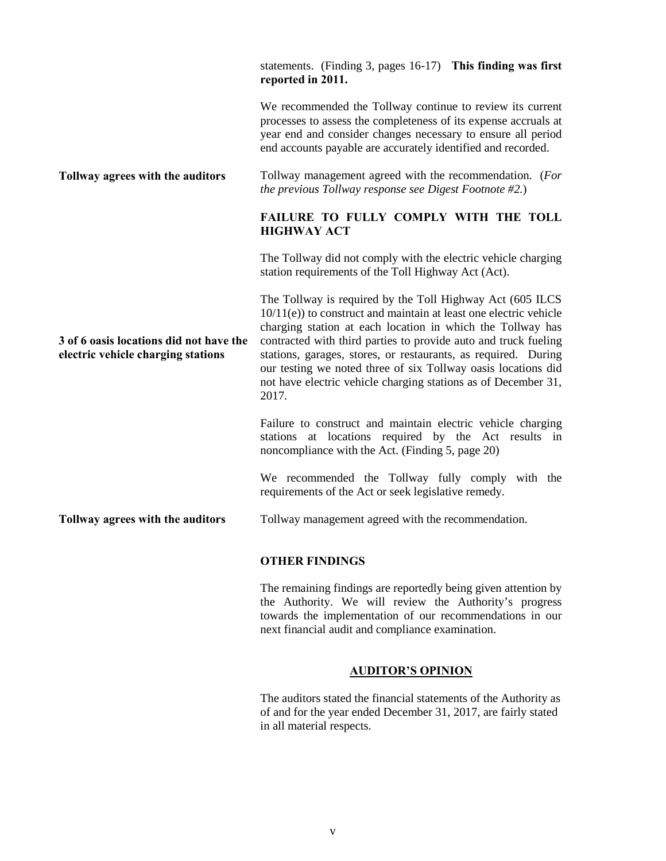|                                                                               | statements. (Finding 3, pages 16-17) This finding was first<br>reported in 2011.                                                                                                                                                                                                                                                                                                                                                                                                  |  |  |  |
|-------------------------------------------------------------------------------|-----------------------------------------------------------------------------------------------------------------------------------------------------------------------------------------------------------------------------------------------------------------------------------------------------------------------------------------------------------------------------------------------------------------------------------------------------------------------------------|--|--|--|
|                                                                               | We recommended the Tollway continue to review its current<br>processes to assess the completeness of its expense accruals at<br>year end and consider changes necessary to ensure all period<br>end accounts payable are accurately identified and recorded.                                                                                                                                                                                                                      |  |  |  |
| Tollway agrees with the auditors                                              | Tollway management agreed with the recommendation. (For<br>the previous Tollway response see Digest Footnote #2.)                                                                                                                                                                                                                                                                                                                                                                 |  |  |  |
|                                                                               | FAILURE TO FULLY COMPLY WITH THE TOLL<br><b>HIGHWAY ACT</b>                                                                                                                                                                                                                                                                                                                                                                                                                       |  |  |  |
|                                                                               | The Tollway did not comply with the electric vehicle charging<br>station requirements of the Toll Highway Act (Act).                                                                                                                                                                                                                                                                                                                                                              |  |  |  |
| 3 of 6 oasis locations did not have the<br>electric vehicle charging stations | The Tollway is required by the Toll Highway Act (605 ILCS)<br>$10/11(e)$ ) to construct and maintain at least one electric vehicle<br>charging station at each location in which the Tollway has<br>contracted with third parties to provide auto and truck fueling<br>stations, garages, stores, or restaurants, as required. During<br>our testing we noted three of six Tollway oasis locations did<br>not have electric vehicle charging stations as of December 31,<br>2017. |  |  |  |
|                                                                               | Failure to construct and maintain electric vehicle charging<br>stations at locations required by the Act results in<br>noncompliance with the Act. (Finding 5, page 20)                                                                                                                                                                                                                                                                                                           |  |  |  |
|                                                                               | We recommended the Tollway fully comply with the<br>requirements of the Act or seek legislative remedy.                                                                                                                                                                                                                                                                                                                                                                           |  |  |  |
| Tollway agrees with the auditors                                              | Tollway management agreed with the recommendation.                                                                                                                                                                                                                                                                                                                                                                                                                                |  |  |  |

#### **OTHER FINDINGS**

The remaining findings are reportedly being given attention by the Authority. We will review the Authority's progress towards the implementation of our recommendations in our next financial audit and compliance examination.

### **AUDITOR'S OPINION**

The auditors stated the financial statements of the Authority as of and for the year ended December 31, 2017, are fairly stated in all material respects.